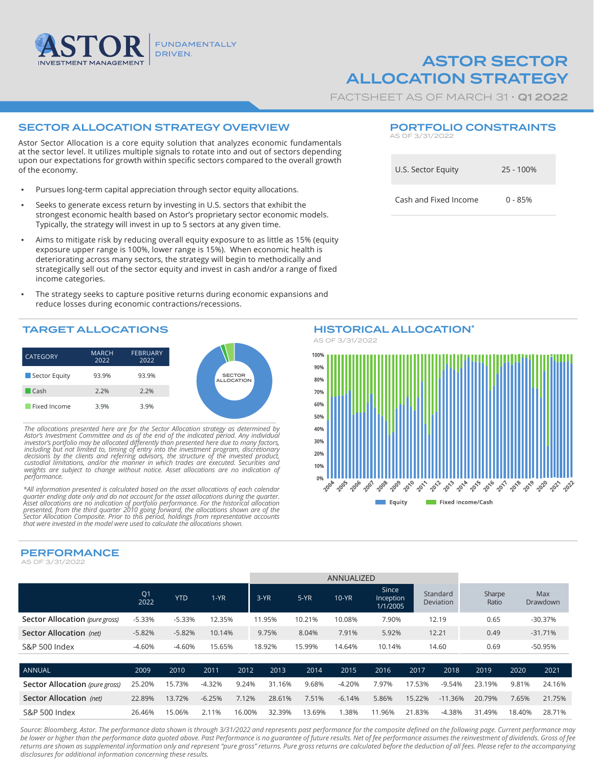

# ASTOR SECTOR ALLOCATION STRATEGY

FACTSHEET AS OF MARCH 31 · **Q1 2022** 

AS OF 3/31/2022

U.S. Sector Equity 25 - 100%

PORTFOLIO CONSTRAINTS

Cash and Fixed Income 0 - 85%

## SECTOR ALLOCATION STRATEGY OVERVIEW

Astor Sector Allocation is a core equity solution that analyzes economic fundamentals at the sector level. It utilizes multiple signals to rotate into and out of sectors depending upon our expectations for growth within specific sectors compared to the overall growth of the economy.

- Pursues long-term capital appreciation through sector equity allocations.
- Seeks to generate excess return by investing in U.S. sectors that exhibit the strongest economic health based on Astor's proprietary sector economic models. Typically, the strategy will invest in up to 5 sectors at any given time.
- Aims to mitigate risk by reducing overall equity exposure to as little as 15% (equity exposure upper range is 100%, lower range is 15%). When economic health is deteriorating across many sectors, the strategy will begin to methodically and strategically sell out of the sector equity and invest in cash and/or a range of fixed income categories.
- The strategy seeks to capture positive returns during economic expansions and reduce losses during economic contractions/recessions.

## TARGET ALLOCATIONS

| <b>CATEGORY</b> | <b>MARCH</b><br>2022 | <b>FEBRUARY</b><br>2022 |
|-----------------|----------------------|-------------------------|
| Sector Equity   | 93.9%                | 93.9%                   |
| Cash            | 2.2%                 | 2.2%                    |
| Fixed Income    | 3.9%                 | 3.9%                    |

*The allocations presented here are for the Sector Allocation strategy as determined by*  Astor's Investment Committee and as of the end of the indicated period. Any individual investor's portfolio may be allocated differently than presented here due to many factors, including but not imited to, timing of entry *performance.*

*\*All information presented is calculated based on the asset allocations of each calendar*  quarter ending date only and do not account for the asset allocations during the quarter.<br>Asset allocations are no indication of portfolio performance. For the historical allocation<br>presented, from the third quarter 2010 g

PERFORMANCE

AS OF 3/31/2022



|                                | Q <sub>1</sub><br>2022 | <b>YTD</b> | $1-YR$   |       | $3-YR$ | $5-YR$ | $10-YR$  | Since<br>Inception<br>1/1/2005 |        | Standard<br>Deviation | Sharpe<br>Ratio |       | <b>Max</b><br>Drawdown |
|--------------------------------|------------------------|------------|----------|-------|--------|--------|----------|--------------------------------|--------|-----------------------|-----------------|-------|------------------------|
| Sector Allocation (pure gross) | $-5.33%$               | $-5.33%$   | 12.35%   |       | 11.95% | 10.21% | 10.08%   | 7.90%                          |        | 12.19                 | 0.65            |       | $-30.37%$              |
| Sector Allocation (net)        | $-5.82%$               | $-5.82%$   | 10.14%   |       | 9.75%  | 8.04%  | 7.91%    | 5.92%                          |        | 12.21                 | 0.49            |       | $-31.71%$              |
| S&P 500 Index                  | $-4.60%$               | $-4.60%$   | 15.65%   |       | 18.92% | 15.99% | 14.64%   | 10.14%                         |        | 14.60                 | 0.69            |       | -50.95%                |
|                                |                        |            |          |       |        |        |          |                                |        |                       |                 |       |                        |
| <b>ANNUAL</b>                  | 2009                   | 2010       | 2011     | 2012  | 2013   | 2014   | 2015     | 2016                           | 2017   | 2018                  | 2019            | 2020  | 2021                   |
| Sector Allocation (pure gross) | 25.20%                 | 15.73%     | $-4.32%$ | 9.24% | 31.16% | 9.68%  | $-4.20%$ | 7.97%                          | 17.53% | $-9.54%$              | 23.19%          | 9.81% | 24.16%                 |
| Sector Allocation (net)        | 22.89%                 | 13.72%     | $-6.25%$ | 7.12% | 28.61% | 7.51%  | $-6.14%$ | 5.86%                          | 15.22% | $-11.36%$             | 20.79%          | 7.65% | 21.75%                 |

Source: Bloomberg, Astor. The performance data shown is through 3/31/2022 and represents past performance for the composite defined on the following page. Current performance may be lower or higher than the performance data quoted above. Past Performance is no guarantee of future results. Net of fee performance assumes the reinvestment of dividends. Gross of fee *returns are shown as supplemental information only and represent "pure gross" returns. Pure gross returns are calculated before the deduction of all fees. Please refer to the accompanying disclosures for additional information concerning these results.*

S&P 500 Index 26.46% 15.06% 2.11% 16.00% 32.39% 13.69% 1.38% 11.96% 21.83% -4.38% 31.49% 18.40% 28.71%